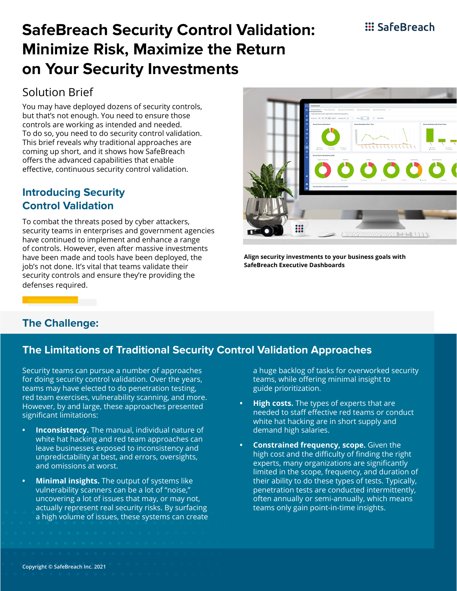### **::: SafeBreach**

# **SafeBreach Security Control Validation: Minimize Risk, Maximize the Return on Your Security Investments**

### Solution Brief

You may have deployed dozens of security controls, but that's not enough. You need to ensure those controls are working as intended and needed. To do so, you need to do security control validation. This brief reveals why traditional approaches are coming up short, and it shows how SafeBreach offers the advanced capabilities that enable effective, continuous security control validation.

#### **Introducing Security Control Validation**

To combat the threats posed by cyber attackers, security teams in enterprises and government agencies have continued to implement and enhance a range of controls. However, even after massive investments have been made and tools have been deployed, the job's not done. It's vital that teams validate their security controls and ensure they're providing the defenses required.



**Align security investments to your business goals with SafeBreach Executive Dashboards**

#### **The Challenge:**

#### **The Limitations of Traditional Security Control Validation Approaches**

Security teams can pursue a number of approaches for doing security control validation. Over the years, teams may have elected to do penetration testing, red team exercises, vulnerability scanning, and more. However, by and large, these approaches presented significant limitations:

- **• Inconsistency.** The manual, individual nature of white hat hacking and red team approaches can leave businesses exposed to inconsistency and unpredictability at best, and errors, oversights, and omissions at worst.
- **• Minimal insights.** The output of systems like vulnerability scanners can be a lot of "noise," uncovering a lot of issues that may, or may not, actually represent real security risks. By surfacing a high volume of issues, these systems can create

a huge backlog of tasks for overworked security teams, while offering minimal insight to guide prioritization.

- **• High costs.** The types of experts that are needed to staff effective red teams or conduct white hat hacking are in short supply and demand high salaries.
- **• Constrained frequency, scope.** Given the high cost and the difficulty of finding the right experts, many organizations are significantly limited in the scope, frequency, and duration of their ability to do these types of tests. Typically, penetration tests are conducted intermittently, often annually or semi-annually, which means teams only gain point-in-time insights.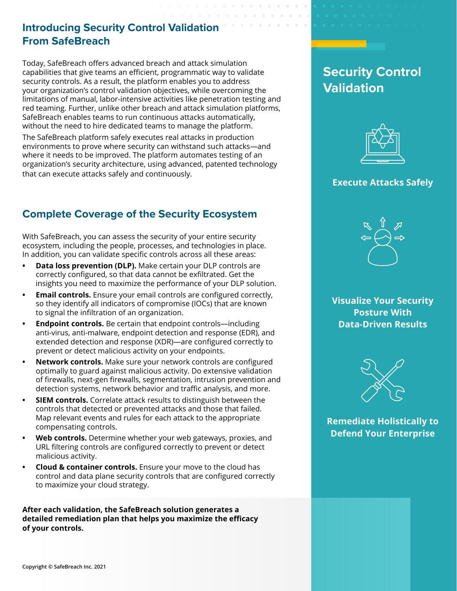#### **Introducing Security Control Validation From SafeBreach**

Today, SafeBreach offers advanced breach and attack simulation capabilities that give teams an efficient, programmatic way to validate security controls. As a result, the platform enables you to address your organization's control validation objectives, while overcoming the limitations of manual, labor-intensive activities like penetration testing and red teaming. Further, unlike other breach and attack simulation platforms, SafeBreach enables teams to run continuous attacks automatically, without the need to hire dedicated teams to manage the platform.

The SafeBreach platform safely executes real attacks in production environments to prove where security can withstand such attacks—and where it needs to be improved. The platform automates testing of an organization's security architecture, using advanced, patented technology that can execute attacks safely and continuously.

### **Complete Coverage of the Security Ecosystem**

With SafeBreach, you can assess the security of your entire security ecosystem, including the people, processes, and technologies in place. In addition, you can validate specific controls across all these areas:

- **• Data loss prevention (DLP).** Make certain your DLP controls are correctly configured, so that data cannot be exfiltrated. Get the insights you need to maximize the performance of your DLP solution.
- **• Email controls.** Ensure your email controls are configured correctly, so they identify all indicators of compromise (IOCs) that are known to signal the infiltration of an organization.
- **• Endpoint controls.** Be certain that endpoint controls—including anti-virus, anti-malware, endpoint detection and response (EDR), and extended detection and response (XDR)—are configured correctly to prevent or detect malicious activity on your endpoints.
- **• Network controls.** Make sure your network controls are configured optimally to guard against malicious activity. Do extensive validation of firewalls, next-gen firewalls, segmentation, intrusion prevention and detection systems, network behavior and traffic analysis, and more.
- **• SIEM controls.** Correlate attack results to distinguish between the controls that detected or prevented attacks and those that failed. Map relevant events and rules for each attack to the appropriate compensating controls.
- **• Web controls.** Determine whether your web gateways, proxies, and URL filtering controls are configured correctly to prevent or detect malicious activity.
- **• Cloud & container controls.** Ensure your move to the cloud has control and data plane security controls that are configured correctly to maximize your cloud strategy.

**After each validation, the SafeBreach solution generates a detailed remediation plan that helps you maximize the efficacy of your controls.** 

# **Security Control Validation**



#### **Execute Attacks Safely**



**Visualize Your Security Posture With Data-Driven Results**



**Remediate Holistically to Defend Your Enterprise**